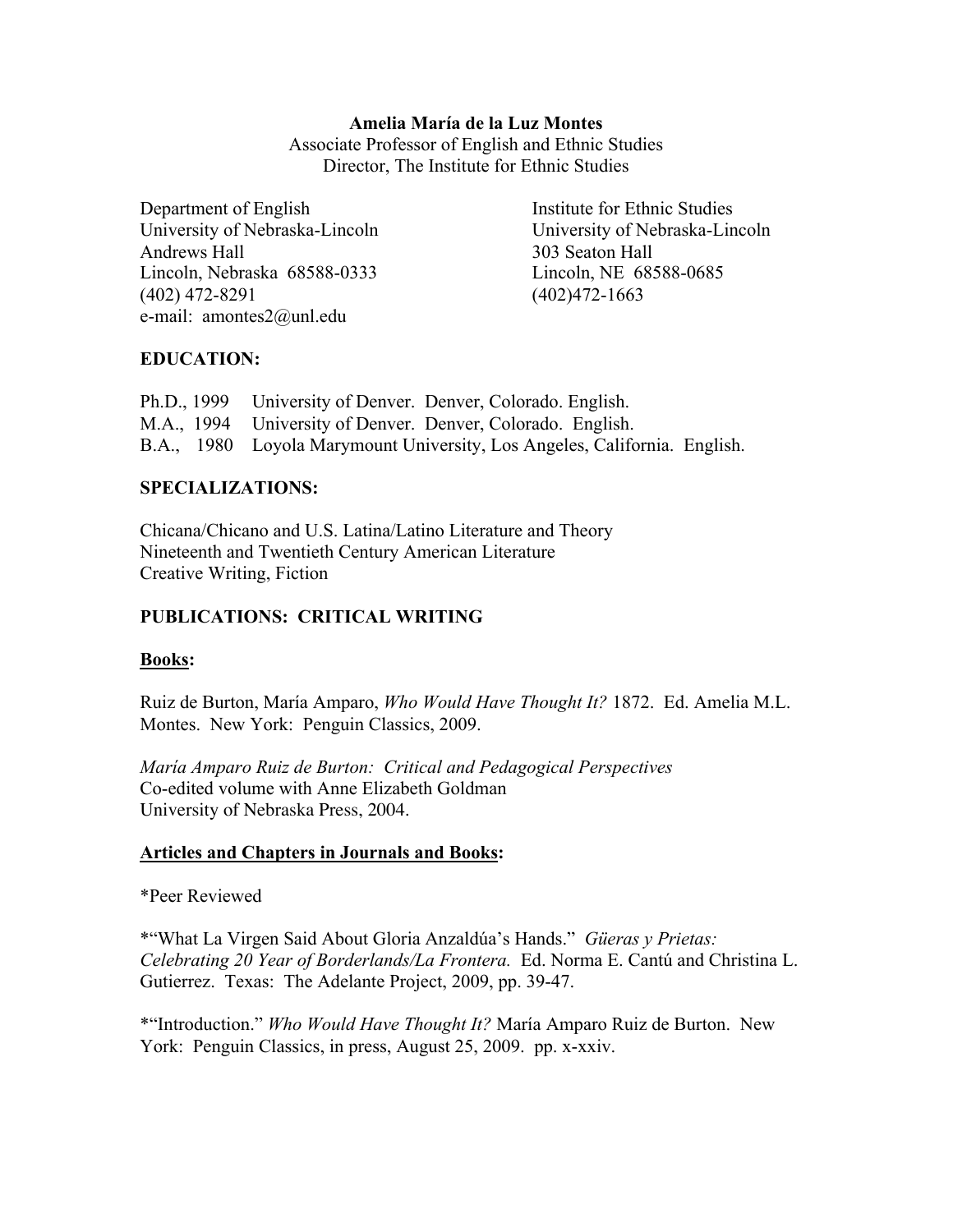### Amelia María de la Luz Montes

Associate Professor of English and Ethnic Studies Director, The Institute for Ethnic Studies

Department of English Institute for Ethnic Studies University of Nebraska-Lincoln University of Nebraska-Lincoln Andrews Hall 303 Seaton Hall Lincoln, Nebraska 68588-0333 Lincoln, NE 68588-0685 (402) 472-8291 (402)472-1663 e-mail: amontes2@unl.edu

# EDUCATION:

Ph.D., 1999 University of Denver. Denver, Colorado. English. M.A., 1994 University of Denver. Denver, Colorado. English. B.A., 1980 Loyola Marymount University, Los Angeles, California. English.

### SPECIALIZATIONS:

Chicana/Chicano and U.S. Latina/Latino Literature and Theory Nineteenth and Twentieth Century American Literature Creative Writing, Fiction

# PUBLICATIONS: CRITICAL WRITING

# Books:

Ruiz de Burton, María Amparo, *Who Would Have Thought It?* 1872. Ed. Amelia M.L. Montes. New York: Penguin Classics, 2009.

*María Amparo Ruiz de Burton: Critical and Pedagogical Perspectives* Co-edited volume with Anne Elizabeth Goldman University of Nebraska Press, 2004.

# Articles and Chapters in Journals and Books:

\*Peer Reviewed

\*"What La Virgen Said About Gloria Anzaldúa's Hands." *Güeras y Prietas: Celebrating 20 Year of Borderlands/La Frontera.* Ed. Norma E. Cantú and Christina L. Gutierrez. Texas: The Adelante Project, 2009, pp. 39-47.

\*"Introduction." *Who Would Have Thought It?* María Amparo Ruiz de Burton. New York: Penguin Classics, in press, August 25, 2009. pp. x-xxiv.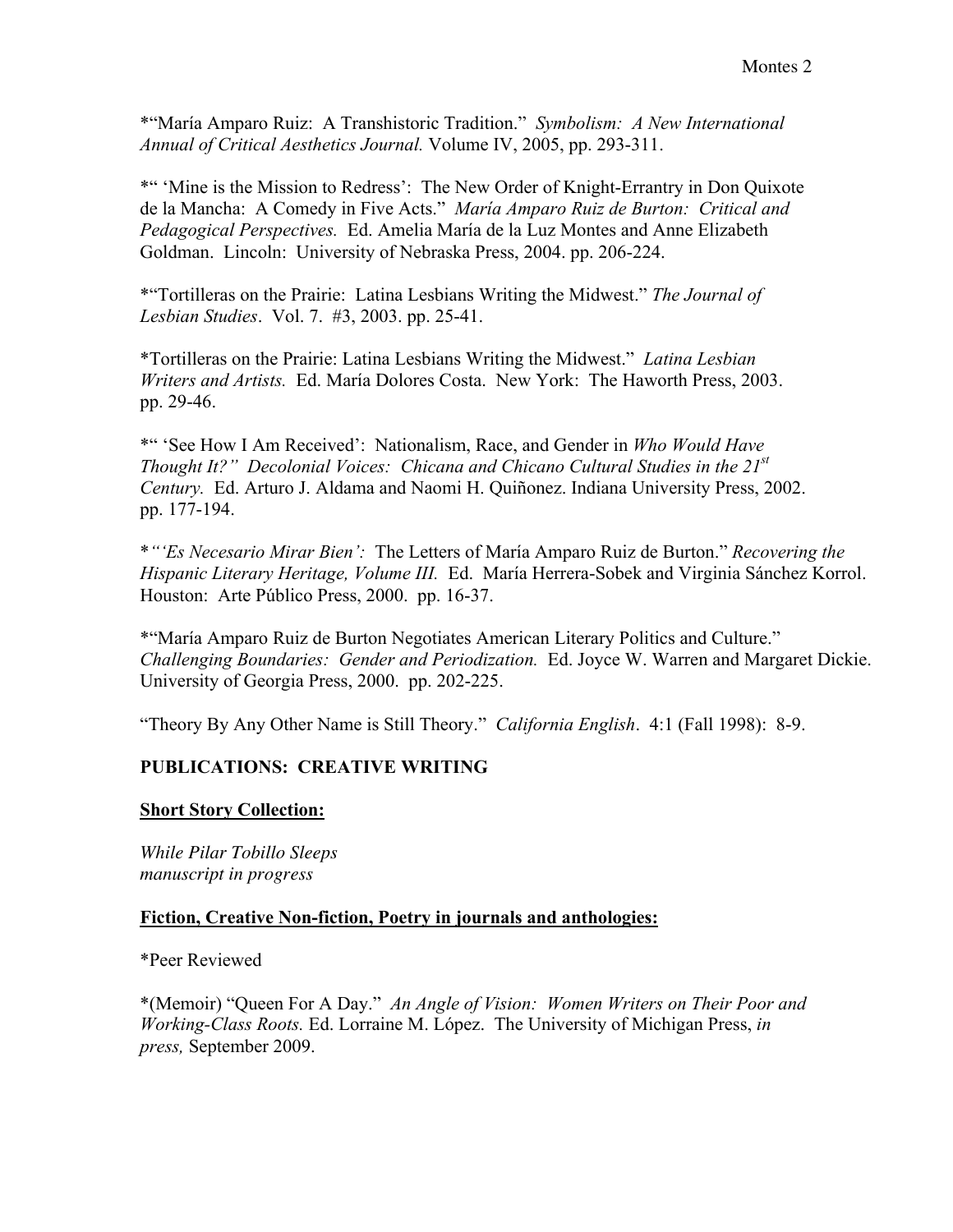\*"María Amparo Ruiz: A Transhistoric Tradition." *Symbolism: A New International Annual of Critical Aesthetics Journal.* Volume IV, 2005, pp. 293-311.

\*" 'Mine is the Mission to Redress': The New Order of Knight-Errantry in Don Quixote de la Mancha: A Comedy in Five Acts." *María Amparo Ruiz de Burton: Critical and Pedagogical Perspectives.* Ed. Amelia María de la Luz Montes and Anne Elizabeth Goldman. Lincoln: University of Nebraska Press, 2004. pp. 206-224.

\*"Tortilleras on the Prairie: Latina Lesbians Writing the Midwest." *The Journal of Lesbian Studies*. Vol. 7. #3, 2003. pp. 25-41.

\*Tortilleras on the Prairie: Latina Lesbians Writing the Midwest." *Latina Lesbian Writers and Artists.* Ed. María Dolores Costa. New York: The Haworth Press, 2003. pp. 29-46.

\*" 'See How I Am Received': Nationalism, Race, and Gender in *Who Would Have Thought It?" Decolonial Voices: Chicana and Chicano Cultural Studies in the 21st Century.* Ed. Arturo J. Aldama and Naomi H. Quiñonez. Indiana University Press, 2002. pp. 177-194.

\**"'Es Necesario Mirar Bien':* The Letters of María Amparo Ruiz de Burton." *Recovering the Hispanic Literary Heritage, Volume III.* Ed. María Herrera-Sobek and Virginia Sánchez Korrol. Houston: Arte Público Press, 2000. pp. 16-37.

\*"María Amparo Ruiz de Burton Negotiates American Literary Politics and Culture." *Challenging Boundaries: Gender and Periodization.* Ed. Joyce W. Warren and Margaret Dickie. University of Georgia Press, 2000. pp. 202-225.

"Theory By Any Other Name is Still Theory." *California English*. 4:1 (Fall 1998): 8-9.

# PUBLICATIONS: CREATIVE WRITING

# Short Story Collection:

*While Pilar Tobillo Sleeps manuscript in progress*

# Fiction, Creative Non-fiction, Poetry in journals and anthologies:

\*Peer Reviewed

\*(Memoir) "Queen For A Day." *An Angle of Vision: Women Writers on Their Poor and Working-Class Roots.* Ed. Lorraine M. López. The University of Michigan Press, *in press,* September 2009.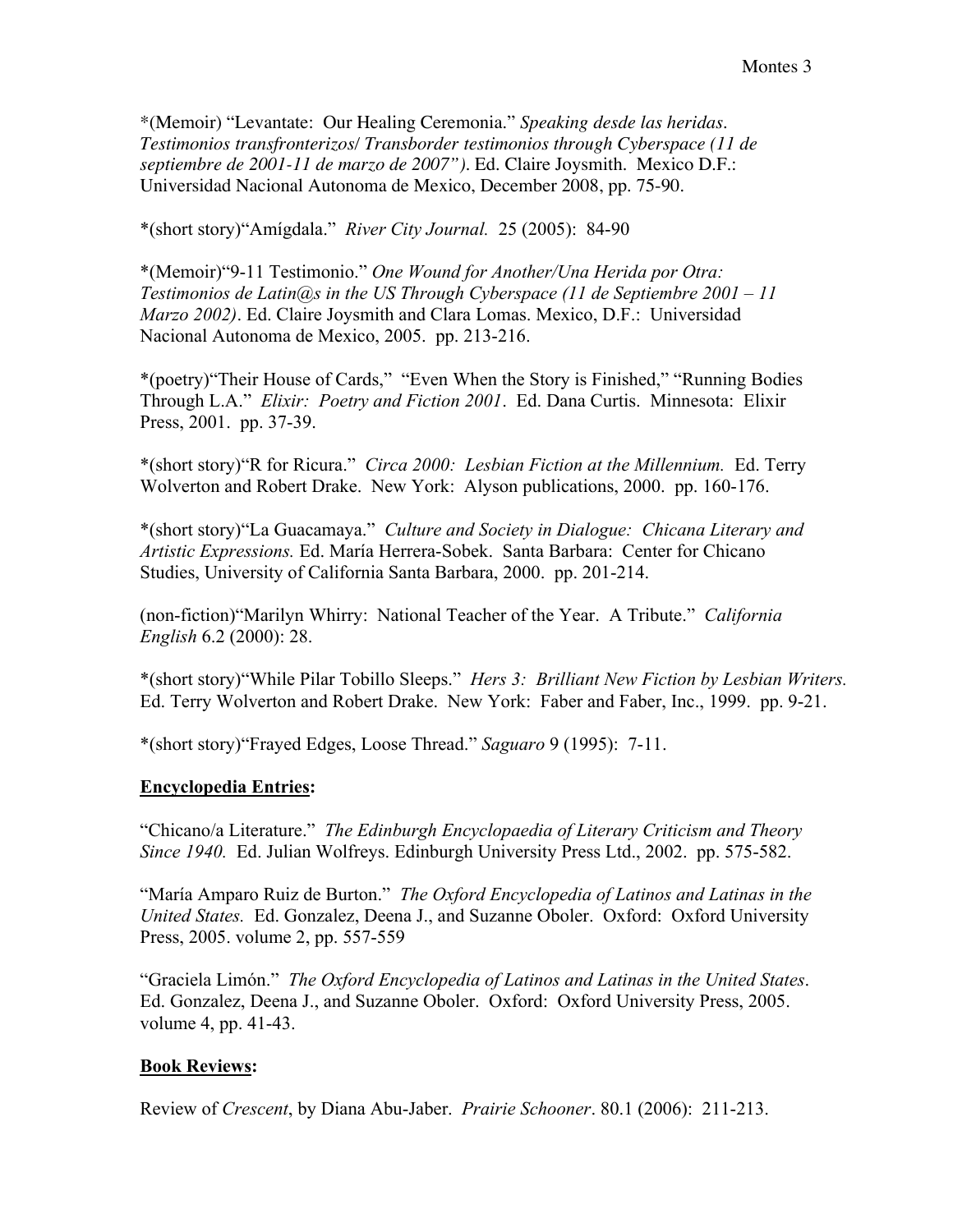\*(Memoir) "Levantate: Our Healing Ceremonia." *Speaking desde las heridas. Testimonios transfronterizos/ Transborder testimonios through Cyberspace (11 de septiembre de 2001-11 de marzo de 2007").* Ed. Claire Joysmith. Mexico D.F.: Universidad Nacional Autonoma de Mexico, December 2008, pp. 75-90.

\*(short story)"Amígdala." *River City Journal.* 25 (2005): 84-90

\*(Memoir)"9-11 Testimonio." *One Wound for Another/Una Herida por Otra: Testimonios de Latin@s in the US Through Cyberspace (11 de Septiembre 2001 – 11 Marzo 2002)*. Ed. Claire Joysmith and Clara Lomas. Mexico, D.F.: Universidad Nacional Autonoma de Mexico, 2005. pp. 213-216.

\*(poetry)"Their House of Cards," "Even When the Story is Finished," "Running Bodies Through L.A." *Elixir: Poetry and Fiction 2001*. Ed. Dana Curtis. Minnesota: Elixir Press, 2001. pp. 37-39.

\*(short story)"R for Ricura." *Circa 2000: Lesbian Fiction at the Millennium.* Ed. Terry Wolverton and Robert Drake. New York: Alyson publications, 2000. pp. 160-176.

\*(short story)"La Guacamaya." *Culture and Society in Dialogue: Chicana Literary and Artistic Expressions.* Ed. María Herrera-Sobek. Santa Barbara: Center for Chicano Studies, University of California Santa Barbara, 2000. pp. 201-214.

(non-fiction)"Marilyn Whirry: National Teacher of the Year. A Tribute." *California English* 6.2 (2000): 28.

\*(short story)"While Pilar Tobillo Sleeps." *Hers 3: Brilliant New Fiction by Lesbian Writers.* Ed. Terry Wolverton and Robert Drake. New York: Faber and Faber, Inc., 1999. pp. 9-21.

\*(short story)"Frayed Edges, Loose Thread." *Saguaro* 9 (1995): 7-11.

# Encyclopedia Entries:

"Chicano/a Literature." *The Edinburgh Encyclopaedia of Literary Criticism and Theory Since 1940.* Ed. Julian Wolfreys. Edinburgh University Press Ltd., 2002. pp. 575-582.

"María Amparo Ruiz de Burton." *The Oxford Encyclopedia of Latinos and Latinas in the United States.* Ed. Gonzalez, Deena J., and Suzanne Oboler. Oxford: Oxford University Press, 2005. volume 2, pp. 557-559

"Graciela Limón." *The Oxford Encyclopedia of Latinos and Latinas in the United States*. Ed. Gonzalez, Deena J., and Suzanne Oboler. Oxford: Oxford University Press, 2005. volume 4, pp. 41-43.

# Book Reviews:

Review of *Crescent*, by Diana Abu-Jaber. *Prairie Schooner*. 80.1 (2006): 211-213.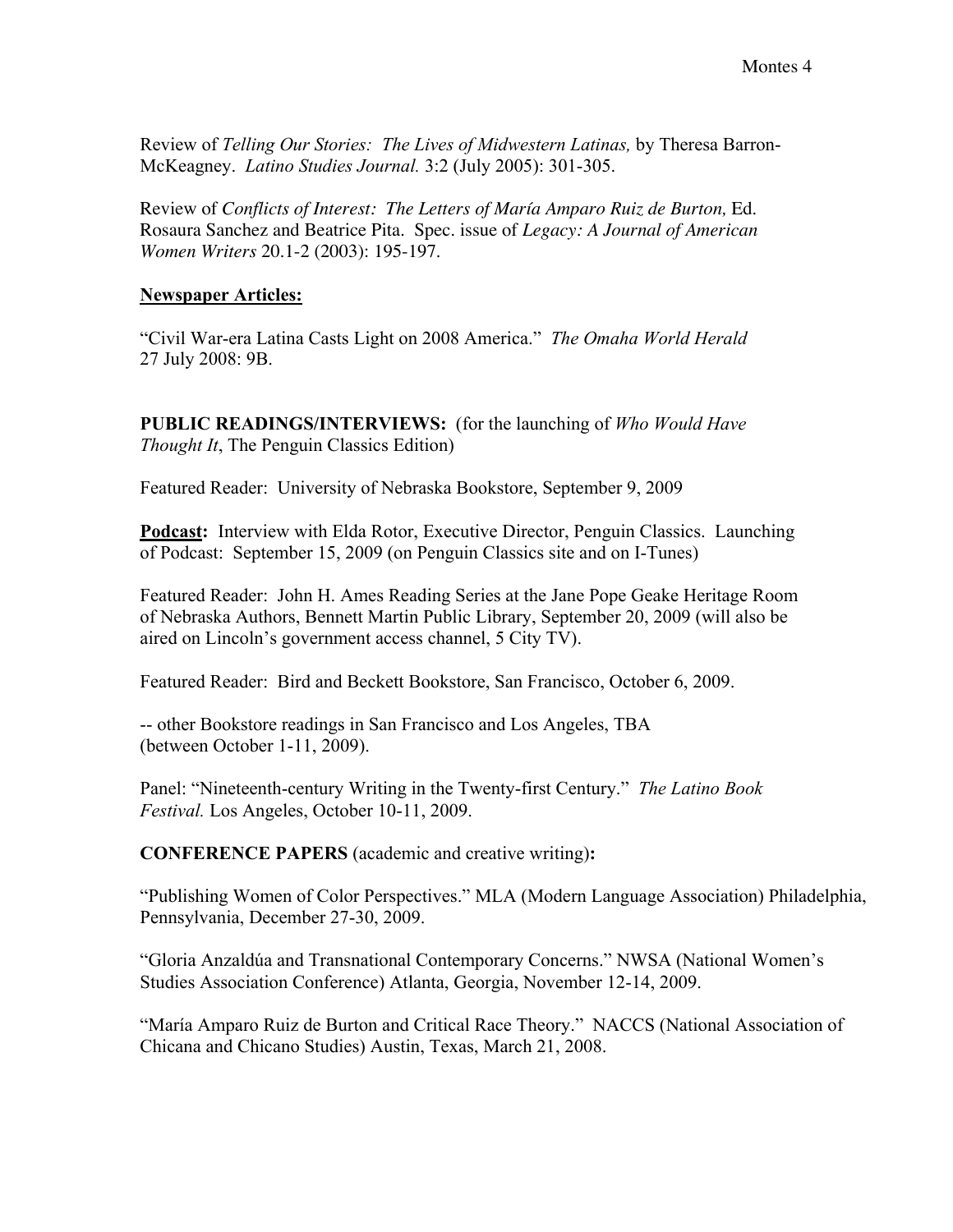Review of *Telling Our Stories: The Lives of Midwestern Latinas,* by Theresa Barron-McKeagney. *Latino Studies Journal.* 3:2 (July 2005): 301-305.

Review of *Conflicts of Interest: The Letters of María Amparo Ruiz de Burton,* Ed. Rosaura Sanchez and Beatrice Pita. Spec. issue of *Legacy: A Journal of American Women Writers* 20.1-2 (2003): 195-197.

### Newspaper Articles:

"Civil War-era Latina Casts Light on 2008 America." *The Omaha World Herald* 27 July 2008: 9B.

PUBLIC READINGS/INTERVIEWS: (for the launching of *Who Would Have Thought It*, The Penguin Classics Edition)

Featured Reader: University of Nebraska Bookstore, September 9, 2009

Podcast: Interview with Elda Rotor, Executive Director, Penguin Classics. Launching of Podcast: September 15, 2009 (on Penguin Classics site and on I-Tunes)

Featured Reader: John H. Ames Reading Series at the Jane Pope Geake Heritage Room of Nebraska Authors, Bennett Martin Public Library, September 20, 2009 (will also be aired on Lincoln's government access channel, 5 City TV).

Featured Reader: Bird and Beckett Bookstore, San Francisco, October 6, 2009.

-- other Bookstore readings in San Francisco and Los Angeles, TBA (between October 1-11, 2009).

Panel: "Nineteenth-century Writing in the Twenty-first Century." *The Latino Book Festival.* Los Angeles, October 10-11, 2009.

CONFERENCE PAPERS (academic and creative writing):

"Publishing Women of Color Perspectives." MLA (Modern Language Association) Philadelphia, Pennsylvania, December 27-30, 2009.

"Gloria Anzaldúa and Transnational Contemporary Concerns." NWSA (National Women's Studies Association Conference) Atlanta, Georgia, November 12-14, 2009.

"María Amparo Ruiz de Burton and Critical Race Theory." NACCS (National Association of Chicana and Chicano Studies) Austin, Texas, March 21, 2008.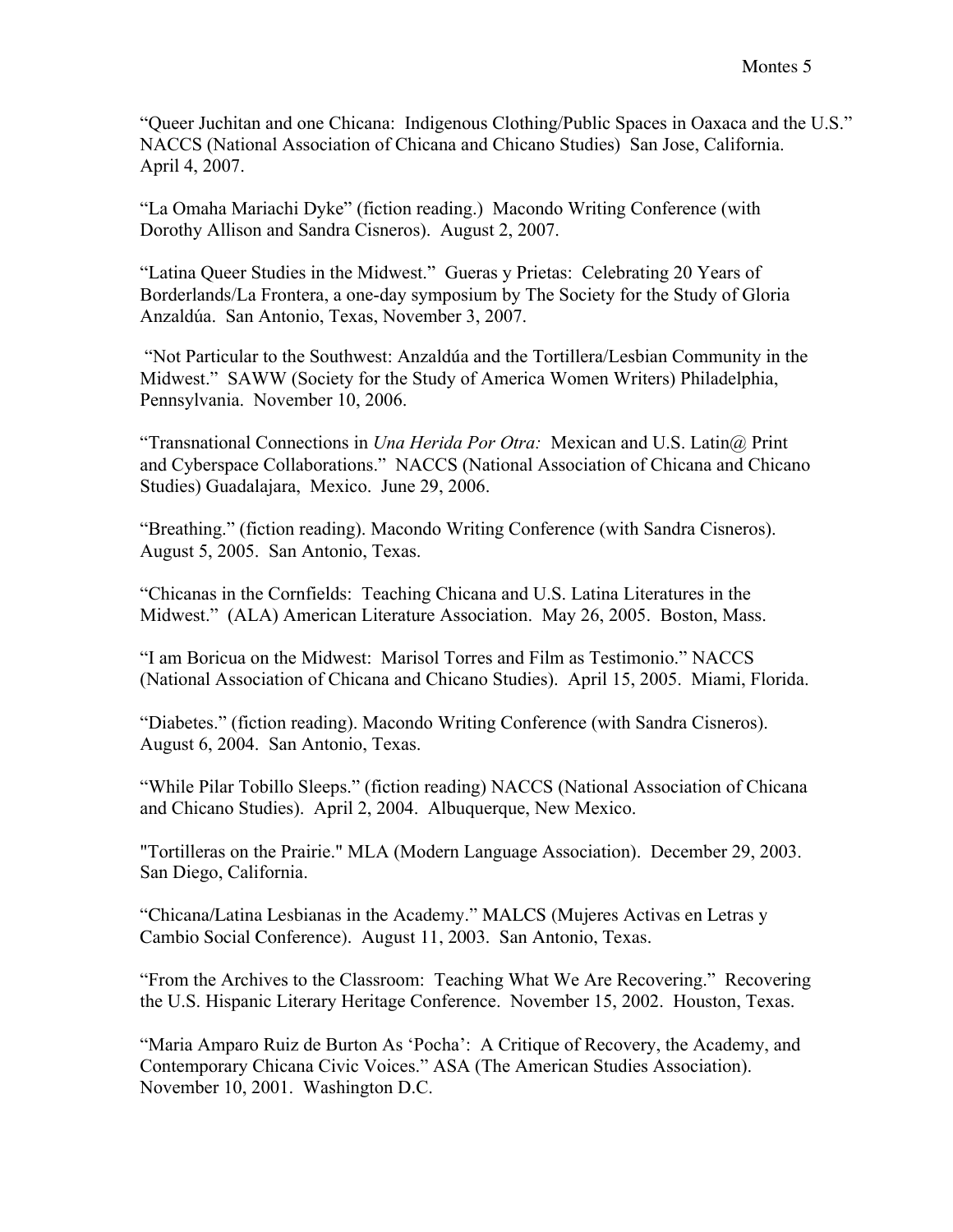"Queer Juchitan and one Chicana: Indigenous Clothing/Public Spaces in Oaxaca and the U.S." NACCS (National Association of Chicana and Chicano Studies) San Jose, California. April 4, 2007.

"La Omaha Mariachi Dyke" (fiction reading.) Macondo Writing Conference (with Dorothy Allison and Sandra Cisneros). August 2, 2007.

"Latina Queer Studies in the Midwest." Gueras y Prietas: Celebrating 20 Years of Borderlands/La Frontera, a one-day symposium by The Society for the Study of Gloria Anzaldúa. San Antonio, Texas, November 3, 2007.

"Not Particular to the Southwest: Anzaldúa and the Tortillera/Lesbian Community in the Midwest." SAWW (Society for the Study of America Women Writers) Philadelphia, Pennsylvania. November 10, 2006.

"Transnational Connections in *Una Herida Por Otra:* Mexican and U.S. Latin@ Print and Cyberspace Collaborations." NACCS (National Association of Chicana and Chicano Studies) Guadalajara, Mexico. June 29, 2006.

"Breathing." (fiction reading). Macondo Writing Conference (with Sandra Cisneros). August 5, 2005. San Antonio, Texas.

"Chicanas in the Cornfields: Teaching Chicana and U.S. Latina Literatures in the Midwest." (ALA) American Literature Association. May 26, 2005. Boston, Mass.

"I am Boricua on the Midwest: Marisol Torres and Film as Testimonio." NACCS (National Association of Chicana and Chicano Studies). April 15, 2005. Miami, Florida.

"Diabetes." (fiction reading). Macondo Writing Conference (with Sandra Cisneros). August 6, 2004. San Antonio, Texas.

"While Pilar Tobillo Sleeps." (fiction reading) NACCS (National Association of Chicana and Chicano Studies). April 2, 2004. Albuquerque, New Mexico.

"Tortilleras on the Prairie." MLA (Modern Language Association). December 29, 2003. San Diego, California.

"Chicana/Latina Lesbianas in the Academy." MALCS (Mujeres Activas en Letras y Cambio Social Conference). August 11, 2003. San Antonio, Texas.

"From the Archives to the Classroom: Teaching What We Are Recovering." Recovering the U.S. Hispanic Literary Heritage Conference. November 15, 2002. Houston, Texas.

"Maria Amparo Ruiz de Burton As 'Pocha': A Critique of Recovery, the Academy, and Contemporary Chicana Civic Voices." ASA (The American Studies Association). November 10, 2001. Washington D.C.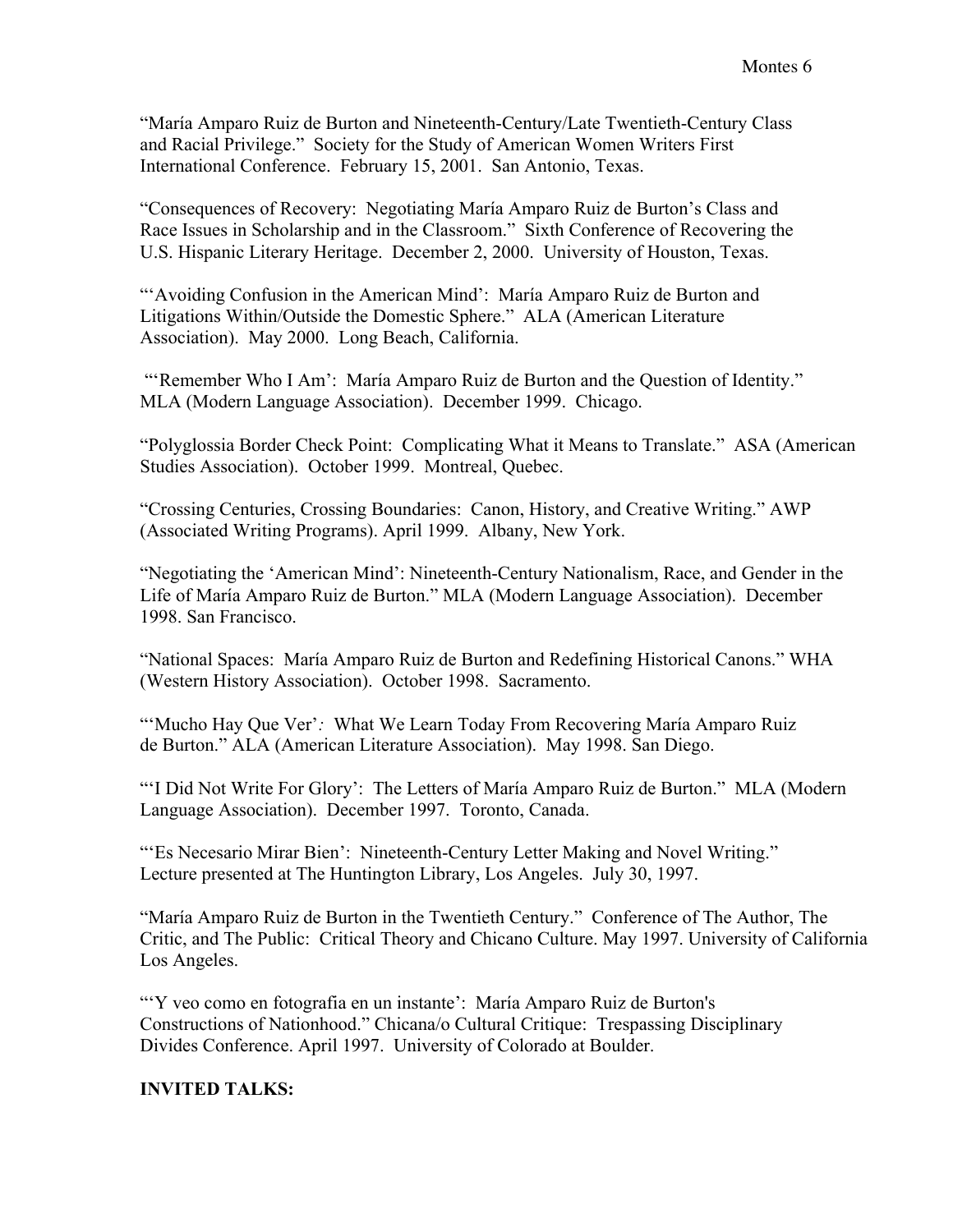"María Amparo Ruiz de Burton and Nineteenth-Century/Late Twentieth-Century Class and Racial Privilege." Society for the Study of American Women Writers First International Conference. February 15, 2001. San Antonio, Texas.

"Consequences of Recovery: Negotiating María Amparo Ruiz de Burton's Class and Race Issues in Scholarship and in the Classroom." Sixth Conference of Recovering the U.S. Hispanic Literary Heritage. December 2, 2000. University of Houston, Texas.

"'Avoiding Confusion in the American Mind': María Amparo Ruiz de Burton and Litigations Within/Outside the Domestic Sphere." ALA (American Literature Association). May 2000. Long Beach, California.

"'Remember Who I Am': María Amparo Ruiz de Burton and the Question of Identity." MLA (Modern Language Association). December 1999. Chicago.

"Polyglossia Border Check Point: Complicating What it Means to Translate." ASA (American Studies Association). October 1999. Montreal, Quebec.

"Crossing Centuries, Crossing Boundaries: Canon, History, and Creative Writing." AWP (Associated Writing Programs). April 1999. Albany, New York.

"Negotiating the 'American Mind': Nineteenth-Century Nationalism, Race, and Gender in the Life of María Amparo Ruiz de Burton." MLA (Modern Language Association). December 1998. San Francisco.

"National Spaces: María Amparo Ruiz de Burton and Redefining Historical Canons." WHA (Western History Association). October 1998. Sacramento.

"'Mucho Hay Que Ver'*:* What We Learn Today From Recovering María Amparo Ruiz de Burton." ALA (American Literature Association). May 1998. San Diego.

"'I Did Not Write For Glory': The Letters of María Amparo Ruiz de Burton." MLA (Modern Language Association). December 1997. Toronto, Canada.

"'Es Necesario Mirar Bien': Nineteenth-Century Letter Making and Novel Writing." Lecture presented at The Huntington Library, Los Angeles. July 30, 1997.

"María Amparo Ruiz de Burton in the Twentieth Century." Conference of The Author, The Critic, and The Public: Critical Theory and Chicano Culture. May 1997. University of California Los Angeles.

"'Y veo como en fotografia en un instante': María Amparo Ruiz de Burton's Constructions of Nationhood." Chicana/o Cultural Critique: Trespassing Disciplinary Divides Conference. April 1997. University of Colorado at Boulder.

# INVITED TALKS: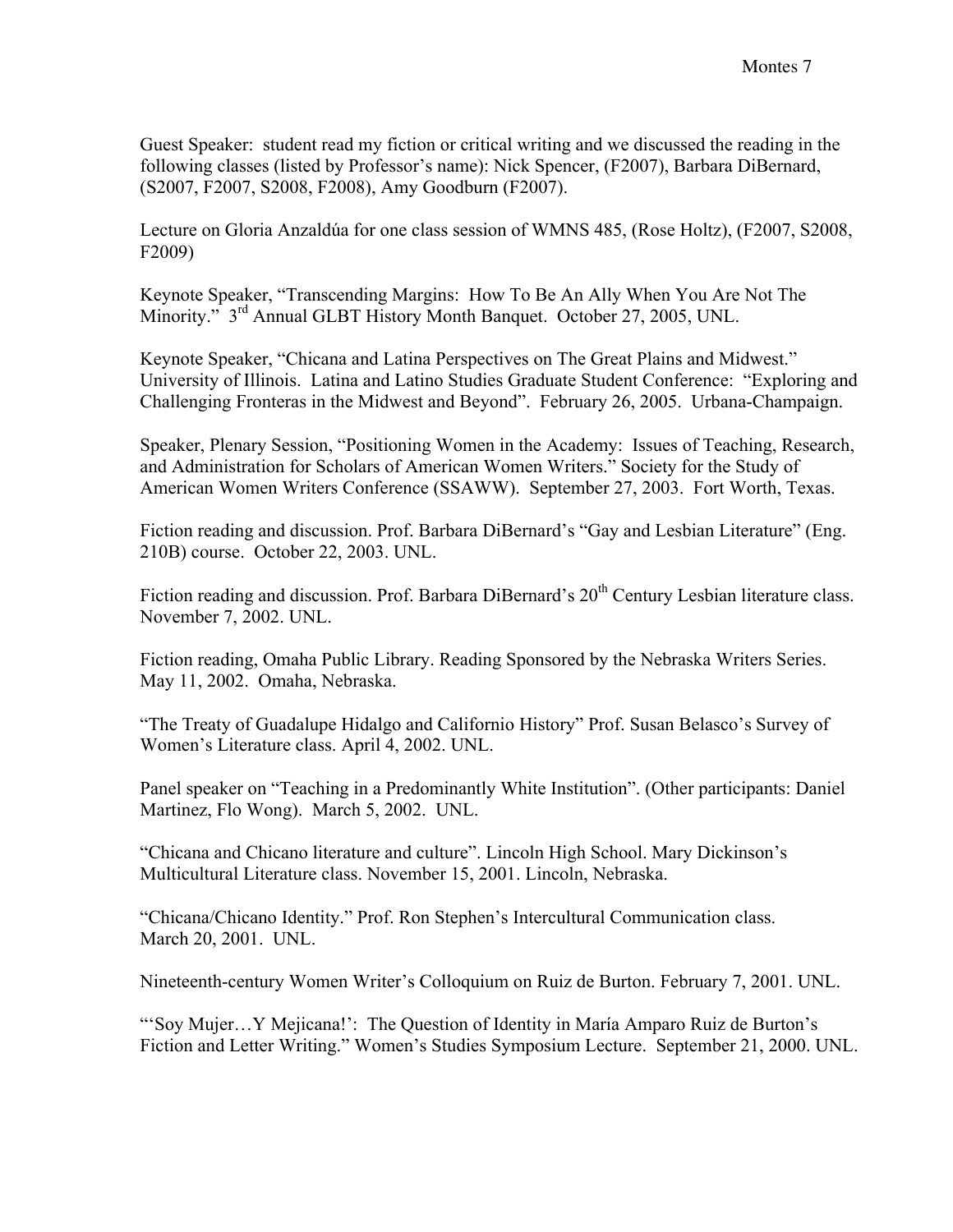Guest Speaker: student read my fiction or critical writing and we discussed the reading in the following classes (listed by Professor's name): Nick Spencer, (F2007), Barbara DiBernard, (S2007, F2007, S2008, F2008), Amy Goodburn (F2007).

Lecture on Gloria Anzaldúa for one class session of WMNS 485, (Rose Holtz), (F2007, S2008, F2009)

Keynote Speaker, "Transcending Margins: How To Be An Ally When You Are Not The Minority." 3<sup>rd</sup> Annual GLBT History Month Banquet. October 27, 2005, UNL.

Keynote Speaker, "Chicana and Latina Perspectives on The Great Plains and Midwest." University of Illinois. Latina and Latino Studies Graduate Student Conference: "Exploring and Challenging Fronteras in the Midwest and Beyond". February 26, 2005. Urbana-Champaign.

Speaker, Plenary Session, "Positioning Women in the Academy: Issues of Teaching, Research, and Administration for Scholars of American Women Writers." Society for the Study of American Women Writers Conference (SSAWW). September 27, 2003. Fort Worth, Texas.

Fiction reading and discussion. Prof. Barbara DiBernard's "Gay and Lesbian Literature" (Eng. 210B) course. October 22, 2003. UNL.

Fiction reading and discussion. Prof. Barbara DiBernard's 20<sup>th</sup> Century Lesbian literature class. November 7, 2002. UNL.

Fiction reading, Omaha Public Library. Reading Sponsored by the Nebraska Writers Series. May 11, 2002. Omaha, Nebraska.

"The Treaty of Guadalupe Hidalgo and Californio History" Prof. Susan Belasco's Survey of Women's Literature class. April 4, 2002. UNL.

Panel speaker on "Teaching in a Predominantly White Institution". (Other participants: Daniel Martinez, Flo Wong). March 5, 2002. UNL.

"Chicana and Chicano literature and culture". Lincoln High School. Mary Dickinson's Multicultural Literature class. November 15, 2001. Lincoln, Nebraska.

"Chicana/Chicano Identity." Prof. Ron Stephen's Intercultural Communication class. March 20, 2001. UNL.

Nineteenth-century Women Writer's Colloquium on Ruiz de Burton. February 7, 2001. UNL.

"'Soy Mujer…Y Mejicana!': The Question of Identity in María Amparo Ruiz de Burton's Fiction and Letter Writing." Women's Studies Symposium Lecture. September 21, 2000. UNL.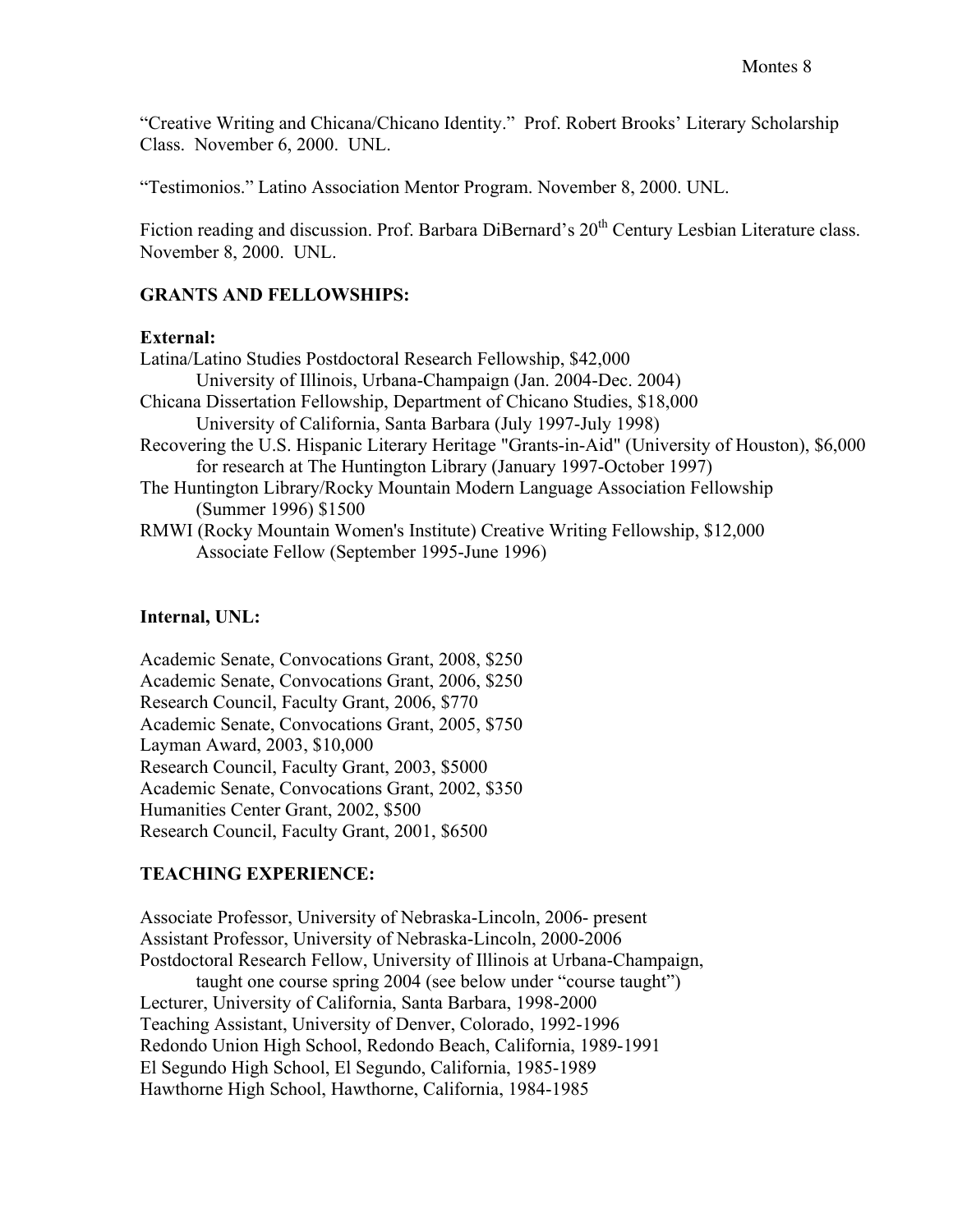"Creative Writing and Chicana/Chicano Identity." Prof. Robert Brooks' Literary Scholarship Class. November 6, 2000. UNL.

"Testimonios." Latino Association Mentor Program. November 8, 2000. UNL.

Fiction reading and discussion. Prof. Barbara DiBernard's 20<sup>th</sup> Century Lesbian Literature class. November 8, 2000. UNL.

### GRANTS AND FELLOWSHIPS:

#### External:

Latina/Latino Studies Postdoctoral Research Fellowship, \$42,000 University of Illinois, Urbana-Champaign (Jan. 2004-Dec. 2004) Chicana Dissertation Fellowship, Department of Chicano Studies, \$18,000 University of California, Santa Barbara (July 1997-July 1998) Recovering the U.S. Hispanic Literary Heritage "Grants-in-Aid" (University of Houston), \$6,000 for research at The Huntington Library (January 1997-October 1997) The Huntington Library/Rocky Mountain Modern Language Association Fellowship (Summer 1996) \$1500 RMWI (Rocky Mountain Women's Institute) Creative Writing Fellowship, \$12,000 Associate Fellow (September 1995-June 1996)

### Internal, UNL:

Academic Senate, Convocations Grant, 2008, \$250 Academic Senate, Convocations Grant, 2006, \$250 Research Council, Faculty Grant, 2006, \$770 Academic Senate, Convocations Grant, 2005, \$750 Layman Award, 2003, \$10,000 Research Council, Faculty Grant, 2003, \$5000 Academic Senate, Convocations Grant, 2002, \$350 Humanities Center Grant, 2002, \$500 Research Council, Faculty Grant, 2001, \$6500

# TEACHING EXPERIENCE:

Associate Professor, University of Nebraska-Lincoln, 2006- present Assistant Professor, University of Nebraska-Lincoln, 2000-2006 Postdoctoral Research Fellow, University of Illinois at Urbana-Champaign, taught one course spring 2004 (see below under "course taught") Lecturer, University of California, Santa Barbara, 1998-2000 Teaching Assistant, University of Denver, Colorado, 1992-1996 Redondo Union High School, Redondo Beach, California, 1989-1991 El Segundo High School, El Segundo, California, 1985-1989 Hawthorne High School, Hawthorne, California, 1984-1985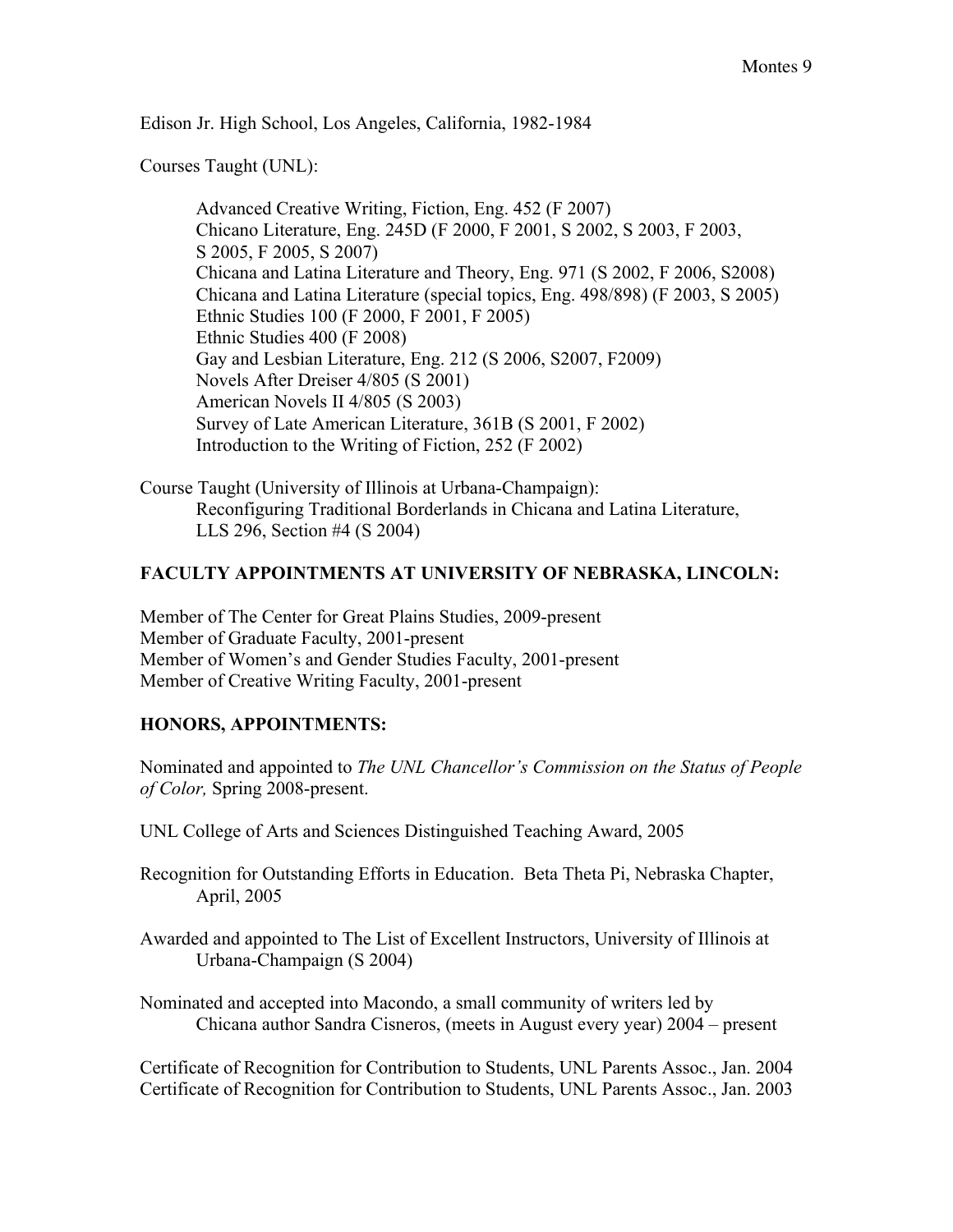Edison Jr. High School, Los Angeles, California, 1982-1984

Courses Taught (UNL):

Advanced Creative Writing, Fiction, Eng. 452 (F 2007) Chicano Literature, Eng. 245D (F 2000, F 2001, S 2002, S 2003, F 2003, S 2005, F 2005, S 2007) Chicana and Latina Literature and Theory, Eng. 971 (S 2002, F 2006, S2008) Chicana and Latina Literature (special topics, Eng. 498/898) (F 2003, S 2005) Ethnic Studies 100 (F 2000, F 2001, F 2005) Ethnic Studies 400 (F 2008) Gay and Lesbian Literature, Eng. 212 (S 2006, S2007, F2009) Novels After Dreiser 4/805 (S 2001) American Novels II 4/805 (S 2003) Survey of Late American Literature, 361B (S 2001, F 2002) Introduction to the Writing of Fiction, 252 (F 2002)

Course Taught (University of Illinois at Urbana-Champaign): Reconfiguring Traditional Borderlands in Chicana and Latina Literature, LLS 296, Section #4 (S 2004)

### FACULTY APPOINTMENTS AT UNIVERSITY OF NEBRASKA, LINCOLN:

Member of The Center for Great Plains Studies, 2009-present Member of Graduate Faculty, 2001-present Member of Women's and Gender Studies Faculty, 2001-present Member of Creative Writing Faculty, 2001-present

### HONORS, APPOINTMENTS:

Nominated and appointed to *The UNL Chancellor's Commission on the Status of People of Color,* Spring 2008-present.

- UNL College of Arts and Sciences Distinguished Teaching Award, 2005
- Recognition for Outstanding Efforts in Education. Beta Theta Pi, Nebraska Chapter, April, 2005
- Awarded and appointed to The List of Excellent Instructors, University of Illinois at Urbana-Champaign (S 2004)
- Nominated and accepted into Macondo, a small community of writers led by Chicana author Sandra Cisneros, (meets in August every year) 2004 – present

Certificate of Recognition for Contribution to Students, UNL Parents Assoc., Jan. 2004 Certificate of Recognition for Contribution to Students, UNL Parents Assoc., Jan. 2003